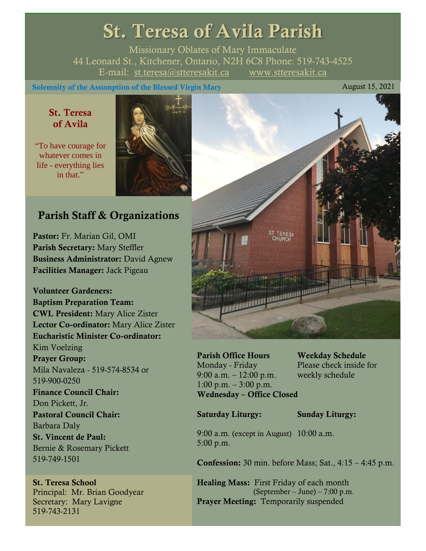# St. Teresa of Avila Parish

Missionary Oblates of Mary Immaculate 44 Leonard St., Kitchener, Ontario, N2H 6C8 Phone: 519-743-4525 E-mail: [st.teresa@stteresakit.ca](mailto:st.teresa@stteresakit.ca) [www.stteresakit.ca](http://www.stteresakit.ca/)

Solemnity of the Assumption of the Blessed Virgin Mary August 15, 2021

# St. Teresa of Avila

"To have courage for whatever comes in life - everything lies in that."



# Parish Staff & Organizations

Pastor: Fr. Marian Gil, OMI Parish Secretary: Mary Steffler Business Administrator: David Agnew Facilities Manager: Jack Pigeau

Volunteer Gardeners: Baptism Preparation Team: CWL President: Mary Alice Zister Lector Co-ordinator: Mary Alice Zister Eucharistic Minister Co-ordinator: Kim Voelzing Prayer Group: Mila Navaleza - 519-574-8534 or 519-900-0250 Finance Council Chair: Don Pickett, Jr. Pastoral Council Chair: Barbara Daly St. Vincent de Paul: Bernie & Rosemary Pickett 519-749-1501

St. Teresa School Principal: Mr. Brian Goodyear Secretary: Mary Lavigne 519-743-2131



Parish Office Hours Weekday Schedule Monday - Friday Please check inside for 9:00 a.m. – 12:00 p.m. weekly schedule  $1:00 \text{ p.m.} - 3:00 \text{ p.m.}$ Wednesday – Office Closed

Saturday Liturgy: Sunday Liturgy:

9:00 a.m. (except in August) 10:00 a.m. 5:00 p.m.

**Confession:** 30 min. before Mass; Sat.,  $4:15 - 4:45$  p.m.

Healing Mass: First Friday of each month (September – June) – 7:00 p.m. Prayer Meeting: Temporarily suspended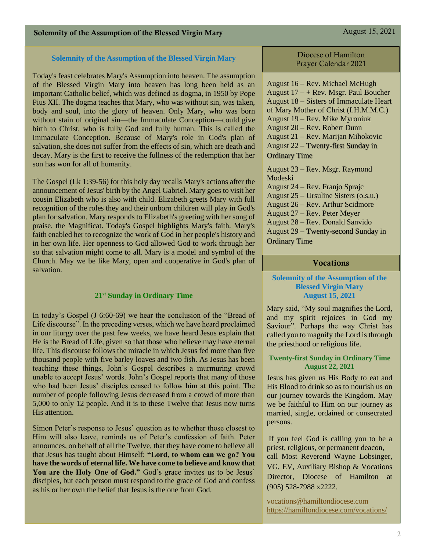### **Solemnity of the Assumption of the Blessed Virgin Mary**

Today's feast celebrates Mary's Assumption into heaven. The assumption of the Blessed Virgin Mary into heaven has long been held as an important Catholic belief, which was defined as dogma, in 1950 by Pope Pius XII. The dogma teaches that Mary, who was without sin, was taken, body and soul, into the glory of heaven. Only Mary, who was born without stain of original sin—the Immaculate Conception—could give birth to Christ, who is fully God and fully human. This is called the Immaculate Conception. Because of Mary's role in God's plan of salvation, she does not suffer from the effects of sin, which are death and decay. Mary is the first to receive the fullness of the redemption that her son has won for all of humanity.

The Gospel (Lk 1:39-56) for this holy day recalls Mary's actions after the announcement of Jesus' birth by the Angel Gabriel. Mary goes to visit her cousin Elizabeth who is also with child. Elizabeth greets Mary with full recognition of the roles they and their unborn children will play in God's plan for salvation. Mary responds to Elizabeth's greeting with her song of praise, the Magnificat. Today's Gospel highlights Mary's faith. Mary's faith enabled her to recognize the work of God in her people's history and in her own life. Her openness to God allowed God to work through her so that salvation might come to all. Mary is a model and symbol of the Church. May we be like Mary, open and cooperative in God's plan of salvation.

### **21st Sunday in Ordinary Time**

In today's Gospel (J 6:60-69) we hear the conclusion of the "Bread of Life discourse". In the preceding verses, which we have heard proclaimed in our liturgy over the past few weeks, we have heard Jesus explain that He is the Bread of Life, given so that those who believe may have eternal life. This discourse follows the miracle in which Jesus fed more than five thousand people with five barley loaves and two fish. As Jesus has been teaching these things, John's Gospel describes a murmuring crowd unable to accept Jesus' words. John's Gospel reports that many of those who had been Jesus' disciples ceased to follow him at this point. The number of people following Jesus decreased from a crowd of more than 5,000 to only 12 people. And it is to these Twelve that Jesus now turns His attention.

Simon Peter's response to Jesus' question as to whether those closest to Him will also leave, reminds us of Peter's confession of faith. Peter announces, on behalf of all the Twelve, that they have come to believe all that Jesus has taught about Himself: **"Lord, to whom can we go? You have the words of eternal life. We have come to believe and know that**  You are the Holy One of God." God's grace invites us to be Jesus' disciples, but each person must respond to the grace of God and confess as his or her own the belief that Jesus is the one from God.

### Diocese of Hamilton Prayer Calendar 2021

August 16 – Rev. Michael McHugh August  $17 - +$  Rev. Msgr. Paul Boucher August 18 – Sisters of Immaculate Heart of Mary Mother of Christ (I.H.M.M.C.) August 19 – Rev. Mike Myroniuk August 20 – Rev. Robert Dunn August 21 – Rev. Marijan Mihokovic August 22 – Twenty-first Sunday in Ordinary Time August 23 – Rev. Msgr. Raymond

Modeski August 24 – Rev. Franjo Sprajc August 25 – Ursuline Sisters (o.s.u.) August 26 – Rev. Arthur Scidmore August 27 – Rev. Peter Meyer August 28 – Rev. Donald Sanvido August 29 – Twenty-second Sunday in Ordinary Time

### Vocations

### **Solemnity of the Assumption of the Blessed Virgin Mary August 15, 2021**

Mary said, "My soul magnifies the Lord, and my spirit rejoices in God my Saviour". Perhaps the way Christ has called you to magnify the Lord is through the priesthood or religious life.

### **Twenty-first Sunday in Ordinary Time August 22, 2021**

Jesus has given us His Body to eat and His Blood to drink so as to nourish us on our journey towards the Kingdom. May we be faithful to Him on our journey as married, single, ordained or consecrated persons.

If you feel God is calling you to be a priest, religious, or permanent deacon, call Most Reverend Wayne Lobsinger, VG, EV, Auxiliary Bishop & Vocations Director, Diocese of Hamilton at (905) 528-7988 x2222.

[vocations@hamiltondiocese.com](mailto:vocations@hamiltondiocese.com)  <https://hamiltondiocese.com/vocations/>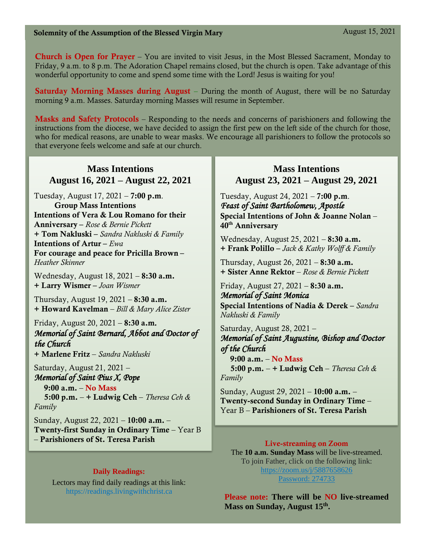# Solemnity of the Assumption of the Blessed Virgin Mary August 15, 2021

**Church is Open for Prayer** – You are invited to visit Jesus, in the Most Blessed Sacrament, Monday to Friday, 9 a.m. to 8 p.m. The Adoration Chapel remains closed, but the church is open. Take advantage of this wonderful opportunity to come and spend some time with the Lord! Jesus is waiting for you!

**Saturday Morning Masses during August** – During the month of August, there will be no Saturday morning 9 a.m. Masses. Saturday morning Masses will resume in September.

Masks and Safety Protocols – Responding to the needs and concerns of parishioners and following the instructions from the diocese, we have decided to assign the first pew on the left side of the church for those, who for medical reasons, are unable to wear masks. We encourage all parishioners to follow the protocols so that everyone feels welcome and safe at our church.

# **Mass Intentions August 16, 2021 – August 22, 2021**

Tuesday, August 17, 2021 – **7:00 p.m**. Group Mass Intentions Intentions of Vera & Lou Romano for their Anniversary – *Rose & Bernie Pickett* + Tom Nakluski – *Sandra Nakluski & Family* Intentions of Artur – *Ewa*  For courage and peace for Pricilla Brown – *Heather Skinner*

Wednesday, August 18, 2021 – 8:30 a.m. + Larry Wismer – *Joan Wismer*

Thursday, August 19,  $2021 - 8:30$  a.m. + Howard Kavelman – *Bill & Mary Alice Zister* 

# Friday, August 20, 2021 – 8:30 a.m*. Memorial of Saint Bernard, Abbot and Doctor of the Church*

+ Marlene Fritz – *Sandra Nakluski*

Saturday, August 21, 2021 – *Memorial of Saint Pius X, Pope*

 9:00 a.m. – No Mass 5:00 p.m. – + Ludwig Ceh – *Theresa Ceh & Family*

Sunday, August 22, 2021 – 10:00 a.m. – Twenty-first Sunday in Ordinary Time – Year B – Parishioners of St. Teresa Parish Live-streaming on Zoom

# **Daily Readings:**

Lectors may find daily readings at this link: https://readings.livingwithchrist.ca

# **Mass Intentions August 23, 2021 – August 29, 2021**

Tuesday, August 24, 2021 – 7:00 p.m. *Feast of Saint Bartholomew, Apostle* Special Intentions of John & Joanne Nolan – 40th Anniversary

Wednesday, August 25, 2021 – 8:30 a.m. + Frank Polillo – *Jack & Kathy Wolff & Family*

Thursday, August 26, 2021 –  $8:30$  a.m. + Sister Anne Rektor – *Rose & Bernie Pickett*

Friday, August 27, 2021 – 8:30 a.m. *Memorial of Saint Monica*  Special Intentions of Nadia & Derek – *Sandra Nakluski & Family*

Saturday, August 28, 2021 – *Memorial of Saint Augustine, Bishop and Doctor of the Church*  9:00 a.m. – No Mass

 5:00 p.m. – + Ludwig Ceh – *Theresa Ceh & Family*

Sunday, August 29, 2021 – 10:00 a.m. – Twenty-second Sunday in Ordinary Time– Year B – Parishioners of St. Teresa Parish

The **10 a.m. Sunday Mass** will be live-streamed. To join Father, click on the following link: <https://zoom.us/j/5887658626> Password: 274733

**Please note: There will be NO live-streamed Mass on Sunday, August 15th .**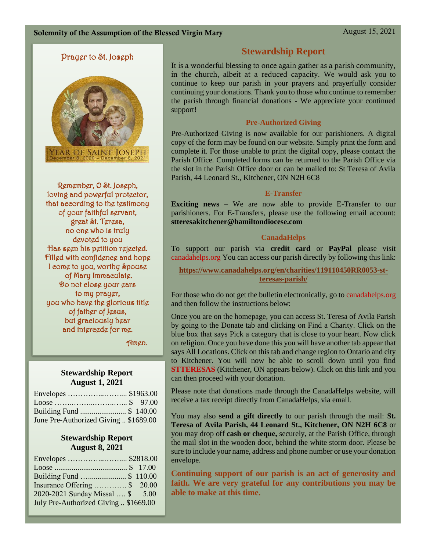# Prayer to St. Joseph



Remember, O St. Joseph, loving and powerful protector, that according to the testimony of your faithful servant, great St. Teresa, no one who is truly devoted to you Has seen his petition rejected. Filled with confidence and hope I come to you, worthy Spouse of Mary Immaculate. Do not close your ears to my prayer, you who have the glorious title of father of Jesus, but graciously hear and intercede for me.

Amen.

# **Stewardship Report August 1, 2021**

| June Pre-Authorized Giving  \$1689.00 |  |
|---------------------------------------|--|

# **Stewardship Report August 8, 2021**

| Envelopes  \$2818.00                  |  |
|---------------------------------------|--|
|                                       |  |
| Building Fund \$ 110.00               |  |
| Insurance Offering  \$ 20.00          |  |
| 2020-2021 Sunday Missal  \$ 5.00      |  |
| July Pre-Authorized Giving  \$1669.00 |  |

# **Stewardship Report**

It is a wonderful blessing to once again gather as a parish community, in the church, albeit at a reduced capacity. We would ask you to continue to keep our parish in your prayers and prayerfully consider continuing your donations. Thank you to those who continue to remember the parish through financial donations - We appreciate your continued support!

# **Pre-Authorized Giving**

Pre-Authorized Giving is now available for our parishioners. A digital copy of the form may be found on our website. Simply print the form and complete it. For those unable to print the digital copy, please contact the Parish Office. Completed forms can be returned to the Parish Office via the slot in the Parish Office door or can be mailed to: St Teresa of Avila Parish, 44 Leonard St., Kitchener, ON N2H 6C8

# **E-Transfer**

**Exciting news** – We are now able to provide E-Transfer to our parishioners. For E-Transfers, please use the following email account: **stteresakitchener@hamiltondiocese.com**

# **CanadaHelps**

To support our parish via **credit card** or **PayPal** please visit canadahelps.org You can access our parish directly by following this link:

**[https://www.canadahelps.org/en/charities/119110450RR0053-st](https://www.canadahelps.org/en/charities/119110450RR0053-st-teresas-parish/)[teresas-parish/](https://www.canadahelps.org/en/charities/119110450RR0053-st-teresas-parish/)**

For those who do not get the bulletin electronically, go to canadahelps.org and then follow the instructions below:

Once you are on the homepage, you can access St. Teresa of Avila Parish by going to the Donate tab and clicking on Find a Charity. Click on the blue box that says Pick a category that is close to your heart. Now click on religion. Once you have done this you will have another tab appear that says All Locations. Click on this tab and change region to Ontario and city to Kitchener. You will now be able to scroll down until you find **STTERESAS** (Kitchener, ON appears below). Click on this link and you can then proceed with your donation.

Please note that donations made through the CanadaHelps website, will receive a tax receipt directly from CanadaHelps, via email.

You may also **send a gift directly** to our parish through the mail: **St. Teresa of Avila Parish, 44 Leonard St., Kitchener, ON N2H 6C8** or you may drop off **cash or cheque,** securely, at the Parish Office, through the mail slot in the wooden door, behind the white storm door. Please be sure to include your name, address and phone number or use your donation envelope.

**Continuing support of our parish is an act of generosity and faith. We are very grateful for any contributions you may be able to make at this time.**